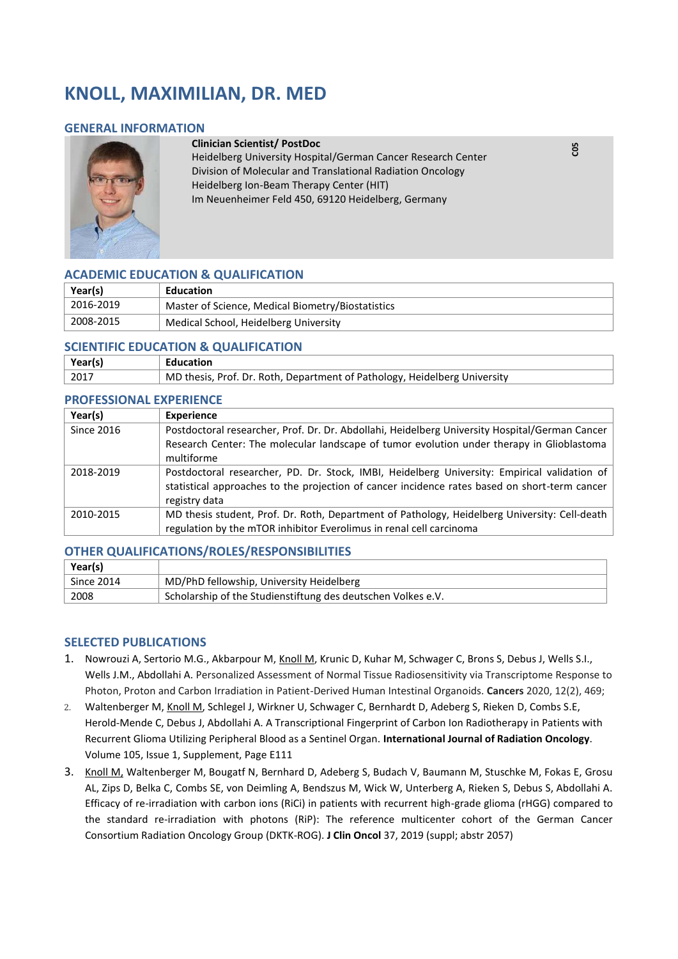# **KNOLL, MAXIMILIAN, DR. MED**

#### **GENERAL INFORMATION**



#### **Clinician Scientist/ PostDoc**

Heidelberg University Hospital/German Cancer Research Center Division of Molecular and Translational Radiation Oncology Heidelberg Ion-Beam Therapy Center (HIT) Im Neuenheimer Feld 450, 69120 Heidelberg, Germany

## **ACADEMIC EDUCATION & QUALIFICATION**

| Year(s)   | Education                                         |
|-----------|---------------------------------------------------|
| 2016-2019 | Master of Science, Medical Biometry/Biostatistics |
| 2008-2015 | Medical School, Heidelberg University             |

### **SCIENTIFIC EDUCATION & QUALIFICATION**

| Year(s)      | Education                                                                 |
|--------------|---------------------------------------------------------------------------|
| $\vert$ 2017 | MD thesis, Prof. Dr. Roth, Department of Pathology, Heidelberg University |

### **PROFESSIONAL EXPERIENCE**

| Year(s)           | <b>Experience</b>                                                                              |
|-------------------|------------------------------------------------------------------------------------------------|
| <b>Since 2016</b> | Postdoctoral researcher, Prof. Dr. Dr. Abdollahi, Heidelberg University Hospital/German Cancer |
|                   | Research Center: The molecular landscape of tumor evolution under therapy in Glioblastoma      |
|                   | multiforme                                                                                     |
| 2018-2019         | Postdoctoral researcher, PD. Dr. Stock, IMBI, Heidelberg University: Empirical validation of   |
|                   | statistical approaches to the projection of cancer incidence rates based on short-term cancer  |
|                   | registry data                                                                                  |
| 2010-2015         | MD thesis student, Prof. Dr. Roth, Department of Pathology, Heidelberg University: Cell-death  |
|                   | regulation by the mTOR inhibitor Everolimus in renal cell carcinoma                            |

### **OTHER QUALIFICATIONS/ROLES/RESPONSIBILITIES**

| Year(s)           |                                                              |
|-------------------|--------------------------------------------------------------|
| <b>Since 2014</b> | MD/PhD fellowship, University Heidelberg                     |
| 2008              | Scholarship of the Studienstiftung des deutschen Volkes e.V. |

# **SELECTED PUBLICATIONS**

- 1. Nowrouzi A, Sertorio M.G., Akbarpour M, Knoll M, Krunic D, Kuhar M, Schwager C, Brons S, Debus J, Wells S.I., Wells J.M., Abdollahi A. Personalized Assessment of Normal Tissue Radiosensitivity via Transcriptome Response to Photon, Proton and Carbon Irradiation in Patient-Derived Human Intestinal Organoids. **Cancers** 2020, 12(2), 469;
- 2. Waltenberger M, Knoll M, Schlegel J, Wirkner U, Schwager C, Bernhardt D, Adeberg S, Rieken D, Combs S.E, Herold-Mende C, Debus J, Abdollahi A. A Transcriptional Fingerprint of Carbon Ion Radiotherapy in Patients with Recurrent Glioma Utilizing Peripheral Blood as a Sentinel Organ. **International Journal of Radiation Oncology**. Volume 105, Issue 1, Supplement, Page E111
- 3. Knoll M, Waltenberger M, Bougatf N, Bernhard D, Adeberg S, Budach V, Baumann M, Stuschke M, Fokas E, Grosu AL, Zips D, Belka C, Combs SE, von Deimling A, Bendszus M, Wick W, Unterberg A, Rieken S, Debus S, Abdollahi A. Efficacy of re-irradiation with carbon ions (RiCi) in patients with recurrent high-grade glioma (rHGG) compared to the standard re-irradiation with photons (RiP): The reference multicenter cohort of the German Cancer Consortium Radiation Oncology Group (DKTK-ROG). **J Clin Oncol** 37, 2019 (suppl; abstr 2057)

**C05**